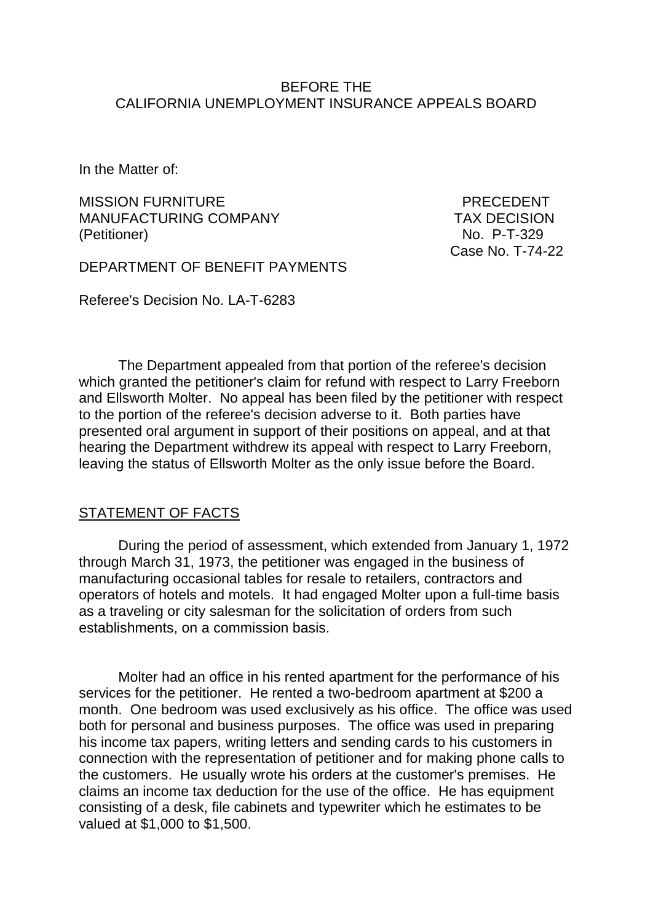#### BEFORE THE CALIFORNIA UNEMPLOYMENT INSURANCE APPEALS BOARD

In the Matter of:

MISSION FURNITURE **EXECUTE A SECOND PRECEDENT** MANUFACTURING COMPANY TAX DECISION (Petitioner) No. P-T-329

Case No. T-74-22

DEPARTMENT OF BENEFIT PAYMENTS

Referee's Decision No. LA-T-6283

The Department appealed from that portion of the referee's decision which granted the petitioner's claim for refund with respect to Larry Freeborn and Ellsworth Molter. No appeal has been filed by the petitioner with respect to the portion of the referee's decision adverse to it. Both parties have presented oral argument in support of their positions on appeal, and at that hearing the Department withdrew its appeal with respect to Larry Freeborn, leaving the status of Ellsworth Molter as the only issue before the Board.

### STATEMENT OF FACTS

During the period of assessment, which extended from January 1, 1972 through March 31, 1973, the petitioner was engaged in the business of manufacturing occasional tables for resale to retailers, contractors and operators of hotels and motels. It had engaged Molter upon a full-time basis as a traveling or city salesman for the solicitation of orders from such establishments, on a commission basis.

Molter had an office in his rented apartment for the performance of his services for the petitioner. He rented a two-bedroom apartment at \$200 a month. One bedroom was used exclusively as his office. The office was used both for personal and business purposes. The office was used in preparing his income tax papers, writing letters and sending cards to his customers in connection with the representation of petitioner and for making phone calls to the customers. He usually wrote his orders at the customer's premises. He claims an income tax deduction for the use of the office. He has equipment consisting of a desk, file cabinets and typewriter which he estimates to be valued at \$1,000 to \$1,500.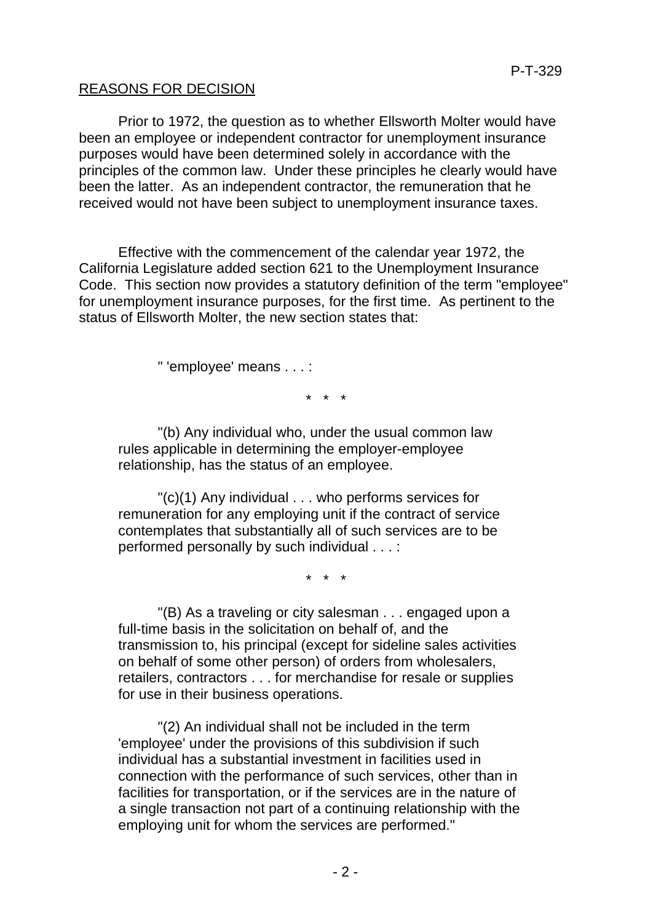# REASONS FOR DECISION

Prior to 1972, the question as to whether Ellsworth Molter would have been an employee or independent contractor for unemployment insurance purposes would have been determined solely in accordance with the principles of the common law. Under these principles he clearly would have been the latter. As an independent contractor, the remuneration that he received would not have been subject to unemployment insurance taxes.

Effective with the commencement of the calendar year 1972, the California Legislature added section 621 to the Unemployment Insurance Code. This section now provides a statutory definition of the term "employee" for unemployment insurance purposes, for the first time. As pertinent to the status of Ellsworth Molter, the new section states that:

" 'employee' means . . . :

\* \* \*

"(b) Any individual who, under the usual common law rules applicable in determining the employer-employee relationship, has the status of an employee.

"(c)(1) Any individual . . . who performs services for remuneration for any employing unit if the contract of service contemplates that substantially all of such services are to be performed personally by such individual . . . :

\* \* \*

"(B) As a traveling or city salesman . . . engaged upon a full-time basis in the solicitation on behalf of, and the transmission to, his principal (except for sideline sales activities on behalf of some other person) of orders from wholesalers, retailers, contractors . . . for merchandise for resale or supplies for use in their business operations.

"(2) An individual shall not be included in the term 'employee' under the provisions of this subdivision if such individual has a substantial investment in facilities used in connection with the performance of such services, other than in facilities for transportation, or if the services are in the nature of a single transaction not part of a continuing relationship with the employing unit for whom the services are performed."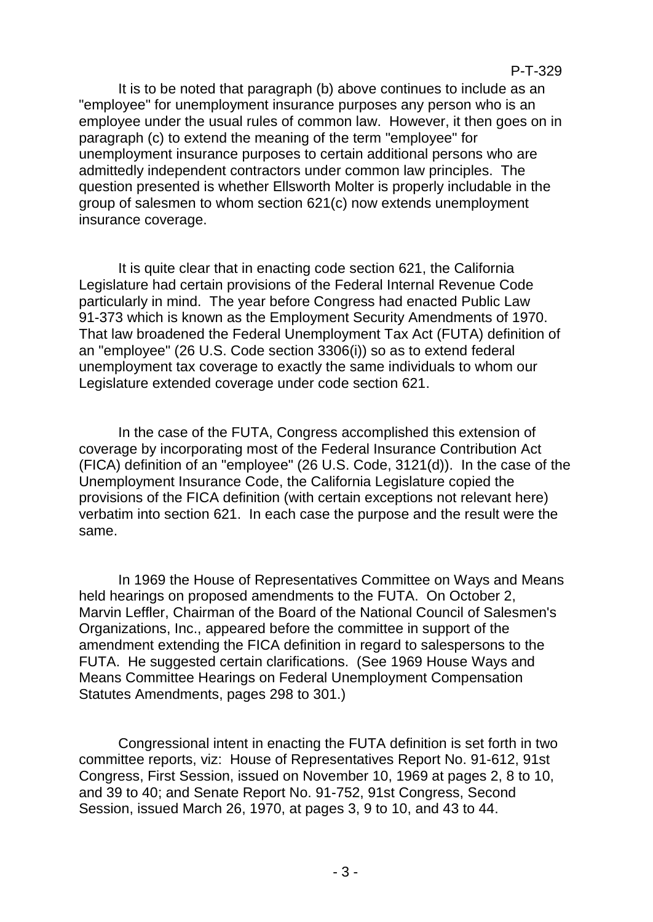It is to be noted that paragraph (b) above continues to include as an "employee" for unemployment insurance purposes any person who is an employee under the usual rules of common law. However, it then goes on in paragraph (c) to extend the meaning of the term "employee" for unemployment insurance purposes to certain additional persons who are admittedly independent contractors under common law principles. The question presented is whether Ellsworth Molter is properly includable in the group of salesmen to whom section 621(c) now extends unemployment insurance coverage.

It is quite clear that in enacting code section 621, the California Legislature had certain provisions of the Federal Internal Revenue Code particularly in mind. The year before Congress had enacted Public Law 91-373 which is known as the Employment Security Amendments of 1970. That law broadened the Federal Unemployment Tax Act (FUTA) definition of an "employee" (26 U.S. Code section 3306(i)) so as to extend federal unemployment tax coverage to exactly the same individuals to whom our Legislature extended coverage under code section 621.

In the case of the FUTA, Congress accomplished this extension of coverage by incorporating most of the Federal Insurance Contribution Act (FICA) definition of an "employee" (26 U.S. Code, 3121(d)). In the case of the Unemployment Insurance Code, the California Legislature copied the provisions of the FICA definition (with certain exceptions not relevant here) verbatim into section 621. In each case the purpose and the result were the same.

In 1969 the House of Representatives Committee on Ways and Means held hearings on proposed amendments to the FUTA. On October 2, Marvin Leffler, Chairman of the Board of the National Council of Salesmen's Organizations, Inc., appeared before the committee in support of the amendment extending the FICA definition in regard to salespersons to the FUTA. He suggested certain clarifications. (See 1969 House Ways and Means Committee Hearings on Federal Unemployment Compensation Statutes Amendments, pages 298 to 301.)

Congressional intent in enacting the FUTA definition is set forth in two committee reports, viz: House of Representatives Report No. 91-612, 91st Congress, First Session, issued on November 10, 1969 at pages 2, 8 to 10, and 39 to 40; and Senate Report No. 91-752, 91st Congress, Second Session, issued March 26, 1970, at pages 3, 9 to 10, and 43 to 44.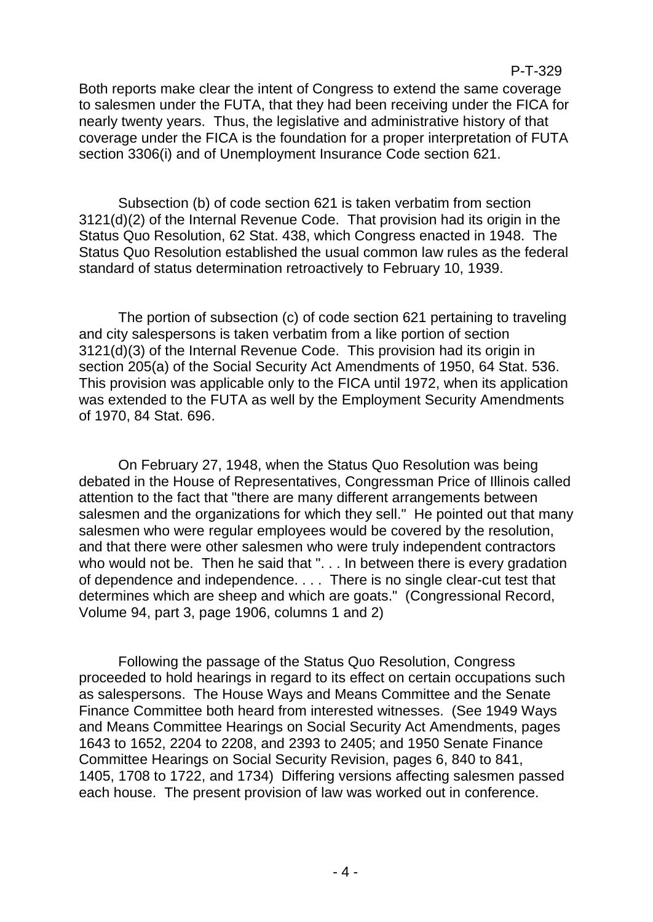Both reports make clear the intent of Congress to extend the same coverage to salesmen under the FUTA, that they had been receiving under the FICA for nearly twenty years. Thus, the legislative and administrative history of that coverage under the FICA is the foundation for a proper interpretation of FUTA section 3306(i) and of Unemployment Insurance Code section 621.

Subsection (b) of code section 621 is taken verbatim from section 3121(d)(2) of the Internal Revenue Code. That provision had its origin in the Status Quo Resolution, 62 Stat. 438, which Congress enacted in 1948. The Status Quo Resolution established the usual common law rules as the federal standard of status determination retroactively to February 10, 1939.

The portion of subsection (c) of code section 621 pertaining to traveling and city salespersons is taken verbatim from a like portion of section 3121(d)(3) of the Internal Revenue Code. This provision had its origin in section 205(a) of the Social Security Act Amendments of 1950, 64 Stat. 536. This provision was applicable only to the FICA until 1972, when its application was extended to the FUTA as well by the Employment Security Amendments of 1970, 84 Stat. 696.

On February 27, 1948, when the Status Quo Resolution was being debated in the House of Representatives, Congressman Price of Illinois called attention to the fact that "there are many different arrangements between salesmen and the organizations for which they sell." He pointed out that many salesmen who were regular employees would be covered by the resolution, and that there were other salesmen who were truly independent contractors who would not be. Then he said that ". . . In between there is every gradation of dependence and independence. . . . There is no single clear-cut test that determines which are sheep and which are goats." (Congressional Record, Volume 94, part 3, page 1906, columns 1 and 2)

Following the passage of the Status Quo Resolution, Congress proceeded to hold hearings in regard to its effect on certain occupations such as salespersons. The House Ways and Means Committee and the Senate Finance Committee both heard from interested witnesses. (See 1949 Ways and Means Committee Hearings on Social Security Act Amendments, pages 1643 to 1652, 2204 to 2208, and 2393 to 2405; and 1950 Senate Finance Committee Hearings on Social Security Revision, pages 6, 840 to 841, 1405, 1708 to 1722, and 1734) Differing versions affecting salesmen passed each house. The present provision of law was worked out in conference.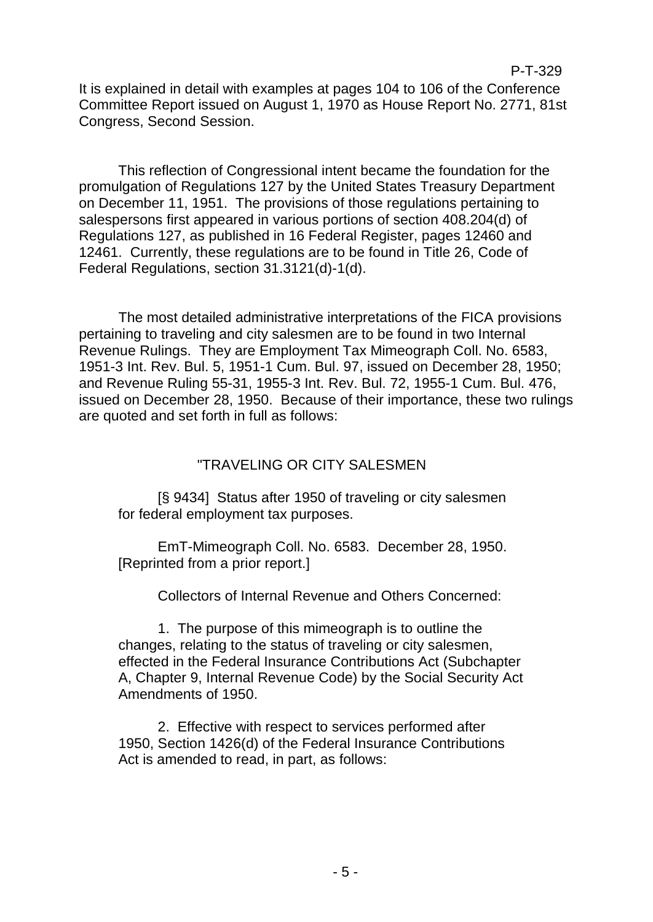P-T-329

This reflection of Congressional intent became the foundation for the promulgation of Regulations 127 by the United States Treasury Department on December 11, 1951. The provisions of those regulations pertaining to salespersons first appeared in various portions of section 408.204(d) of Regulations 127, as published in 16 Federal Register, pages 12460 and 12461. Currently, these regulations are to be found in Title 26, Code of Federal Regulations, section 31.3121(d)-1(d).

The most detailed administrative interpretations of the FICA provisions pertaining to traveling and city salesmen are to be found in two Internal Revenue Rulings. They are Employment Tax Mimeograph Coll. No. 6583, 1951-3 Int. Rev. Bul. 5, 1951-1 Cum. Bul. 97, issued on December 28, 1950; and Revenue Ruling 55-31, 1955-3 Int. Rev. Bul. 72, 1955-1 Cum. Bul. 476, issued on December 28, 1950. Because of their importance, these two rulings are quoted and set forth in full as follows:

# "TRAVELING OR CITY SALESMEN

[§ 9434] Status after 1950 of traveling or city salesmen for federal employment tax purposes.

EmT-Mimeograph Coll. No. 6583. December 28, 1950. [Reprinted from a prior report.]

Collectors of Internal Revenue and Others Concerned:

1. The purpose of this mimeograph is to outline the changes, relating to the status of traveling or city salesmen, effected in the Federal Insurance Contributions Act (Subchapter A, Chapter 9, Internal Revenue Code) by the Social Security Act Amendments of 1950.

2. Effective with respect to services performed after 1950, Section 1426(d) of the Federal Insurance Contributions Act is amended to read, in part, as follows: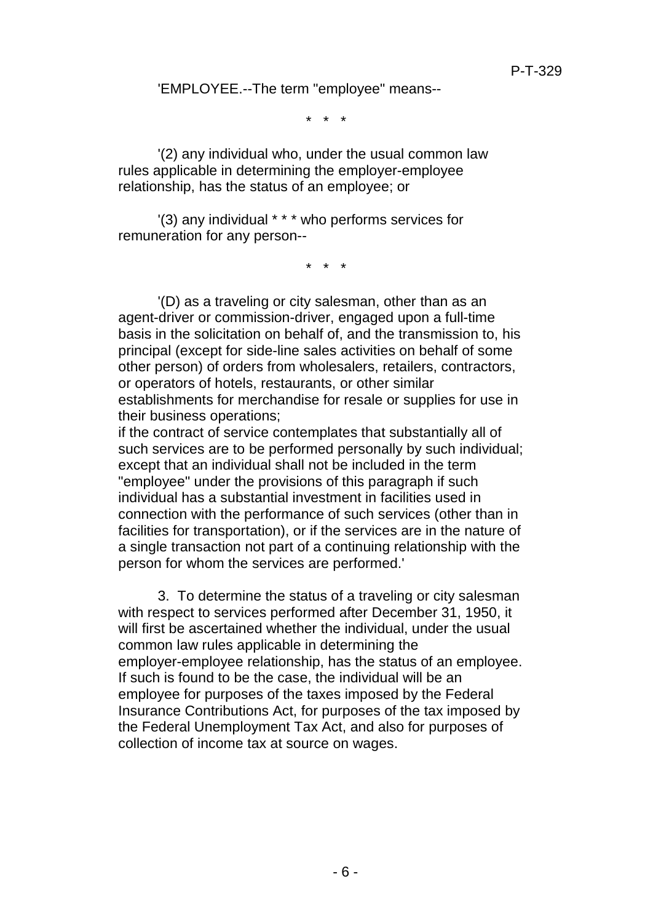'EMPLOYEE.--The term "employee" means--

\* \* \*

'(2) any individual who, under the usual common law rules applicable in determining the employer-employee relationship, has the status of an employee; or

'(3) any individual \* \* \* who performs services for remuneration for any person--

\* \* \*

'(D) as a traveling or city salesman, other than as an agent-driver or commission-driver, engaged upon a full-time basis in the solicitation on behalf of, and the transmission to, his principal (except for side-line sales activities on behalf of some other person) of orders from wholesalers, retailers, contractors, or operators of hotels, restaurants, or other similar establishments for merchandise for resale or supplies for use in their business operations;

if the contract of service contemplates that substantially all of such services are to be performed personally by such individual; except that an individual shall not be included in the term "employee" under the provisions of this paragraph if such individual has a substantial investment in facilities used in connection with the performance of such services (other than in facilities for transportation), or if the services are in the nature of a single transaction not part of a continuing relationship with the person for whom the services are performed.'

3. To determine the status of a traveling or city salesman with respect to services performed after December 31, 1950, it will first be ascertained whether the individual, under the usual common law rules applicable in determining the employer-employee relationship, has the status of an employee. If such is found to be the case, the individual will be an employee for purposes of the taxes imposed by the Federal Insurance Contributions Act, for purposes of the tax imposed by the Federal Unemployment Tax Act, and also for purposes of collection of income tax at source on wages.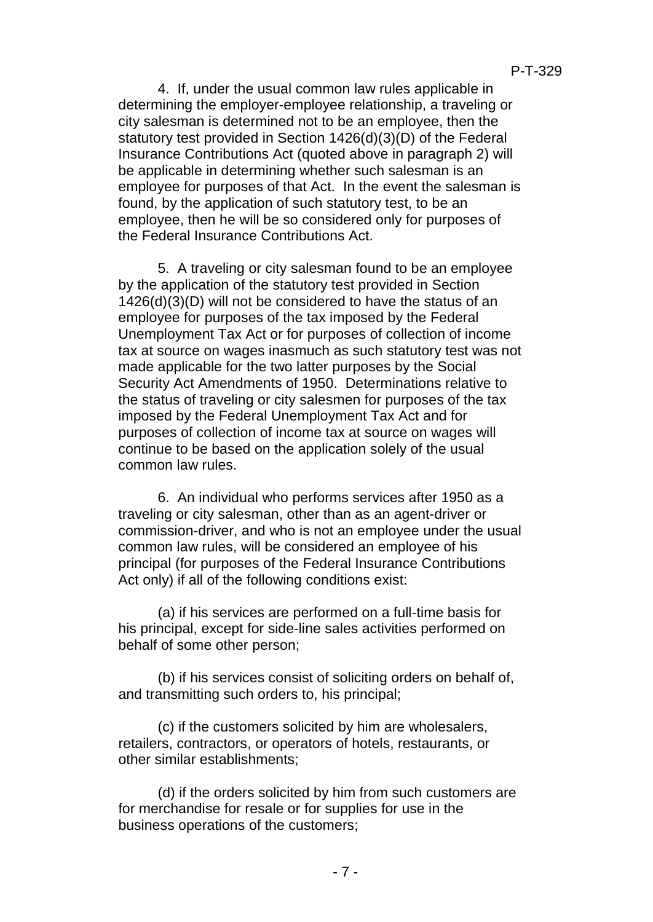4. If, under the usual common law rules applicable in determining the employer-employee relationship, a traveling or city salesman is determined not to be an employee, then the statutory test provided in Section 1426(d)(3)(D) of the Federal Insurance Contributions Act (quoted above in paragraph 2) will be applicable in determining whether such salesman is an employee for purposes of that Act. In the event the salesman is found, by the application of such statutory test, to be an employee, then he will be so considered only for purposes of the Federal Insurance Contributions Act.

5. A traveling or city salesman found to be an employee by the application of the statutory test provided in Section 1426(d)(3)(D) will not be considered to have the status of an employee for purposes of the tax imposed by the Federal Unemployment Tax Act or for purposes of collection of income tax at source on wages inasmuch as such statutory test was not made applicable for the two latter purposes by the Social Security Act Amendments of 1950. Determinations relative to the status of traveling or city salesmen for purposes of the tax imposed by the Federal Unemployment Tax Act and for purposes of collection of income tax at source on wages will continue to be based on the application solely of the usual common law rules.

6. An individual who performs services after 1950 as a traveling or city salesman, other than as an agent-driver or commission-driver, and who is not an employee under the usual common law rules, will be considered an employee of his principal (for purposes of the Federal Insurance Contributions Act only) if all of the following conditions exist:

(a) if his services are performed on a full-time basis for his principal, except for side-line sales activities performed on behalf of some other person;

(b) if his services consist of soliciting orders on behalf of, and transmitting such orders to, his principal;

(c) if the customers solicited by him are wholesalers, retailers, contractors, or operators of hotels, restaurants, or other similar establishments;

(d) if the orders solicited by him from such customers are for merchandise for resale or for supplies for use in the business operations of the customers;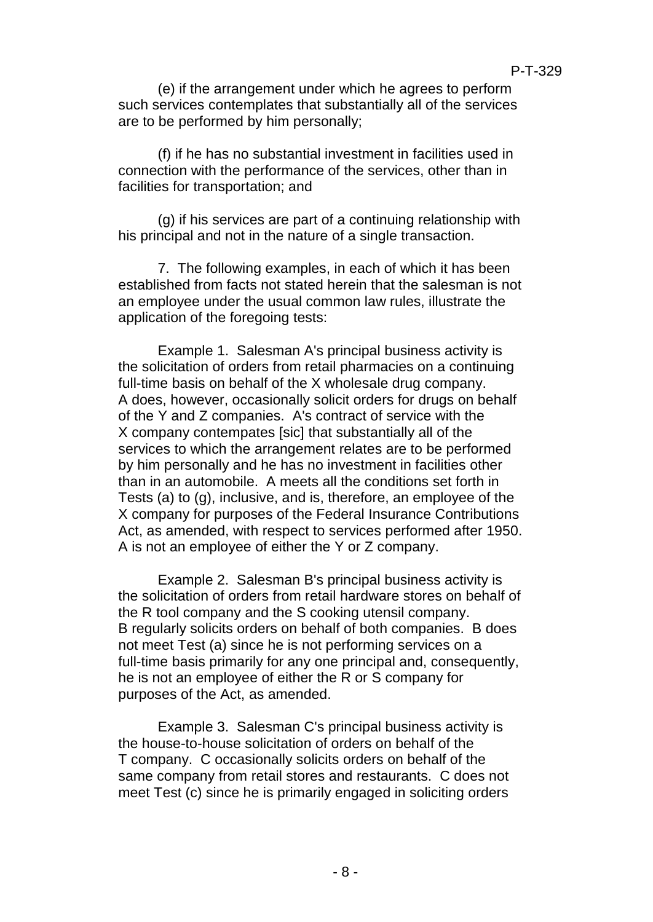(e) if the arrangement under which he agrees to perform such services contemplates that substantially all of the services are to be performed by him personally;

(f) if he has no substantial investment in facilities used in connection with the performance of the services, other than in facilities for transportation; and

(g) if his services are part of a continuing relationship with his principal and not in the nature of a single transaction.

7. The following examples, in each of which it has been established from facts not stated herein that the salesman is not an employee under the usual common law rules, illustrate the application of the foregoing tests:

Example 1. Salesman A's principal business activity is the solicitation of orders from retail pharmacies on a continuing full-time basis on behalf of the X wholesale drug company. A does, however, occasionally solicit orders for drugs on behalf of the Y and Z companies. A's contract of service with the X company contempates [sic] that substantially all of the services to which the arrangement relates are to be performed by him personally and he has no investment in facilities other than in an automobile. A meets all the conditions set forth in Tests (a) to (g), inclusive, and is, therefore, an employee of the X company for purposes of the Federal Insurance Contributions Act, as amended, with respect to services performed after 1950. A is not an employee of either the Y or Z company.

Example 2. Salesman B's principal business activity is the solicitation of orders from retail hardware stores on behalf of the R tool company and the S cooking utensil company. B regularly solicits orders on behalf of both companies. B does not meet Test (a) since he is not performing services on a full-time basis primarily for any one principal and, consequently, he is not an employee of either the R or S company for purposes of the Act, as amended.

Example 3. Salesman C's principal business activity is the house-to-house solicitation of orders on behalf of the T company. C occasionally solicits orders on behalf of the same company from retail stores and restaurants. C does not meet Test (c) since he is primarily engaged in soliciting orders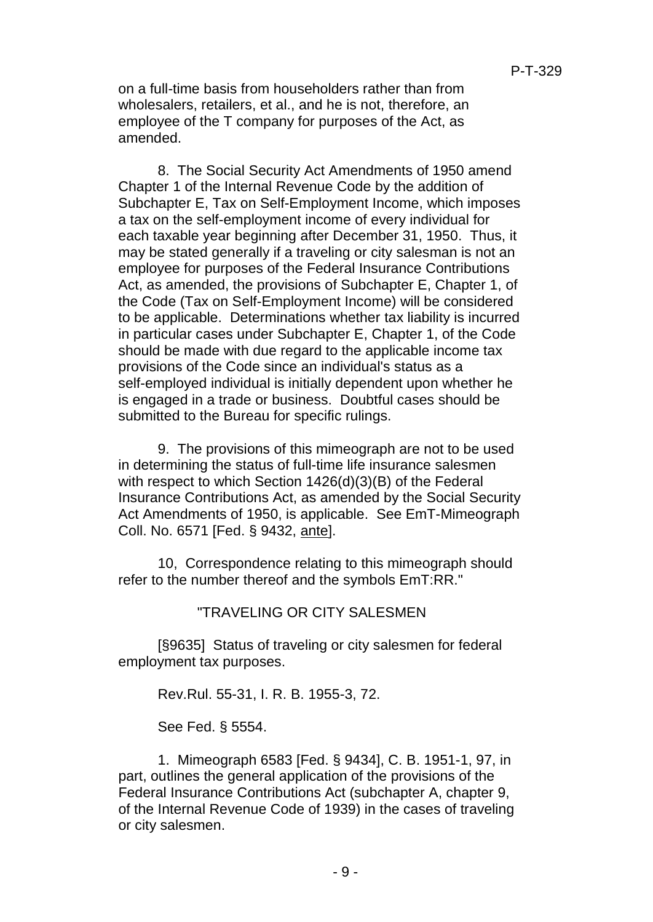on a full-time basis from householders rather than from wholesalers, retailers, et al., and he is not, therefore, an employee of the T company for purposes of the Act, as amended.

8. The Social Security Act Amendments of 1950 amend Chapter 1 of the Internal Revenue Code by the addition of Subchapter E, Tax on Self-Employment Income, which imposes a tax on the self-employment income of every individual for each taxable year beginning after December 31, 1950. Thus, it may be stated generally if a traveling or city salesman is not an employee for purposes of the Federal Insurance Contributions Act, as amended, the provisions of Subchapter E, Chapter 1, of the Code (Tax on Self-Employment Income) will be considered to be applicable. Determinations whether tax liability is incurred in particular cases under Subchapter E, Chapter 1, of the Code should be made with due regard to the applicable income tax provisions of the Code since an individual's status as a self-employed individual is initially dependent upon whether he is engaged in a trade or business. Doubtful cases should be submitted to the Bureau for specific rulings.

9. The provisions of this mimeograph are not to be used in determining the status of full-time life insurance salesmen with respect to which Section 1426(d)(3)(B) of the Federal Insurance Contributions Act, as amended by the Social Security Act Amendments of 1950, is applicable. See EmT-Mimeograph Coll. No. 6571 [Fed. § 9432, ante].

10, Correspondence relating to this mimeograph should refer to the number thereof and the symbols EmT:RR."

"TRAVELING OR CITY SALESMEN

[§9635] Status of traveling or city salesmen for federal employment tax purposes.

Rev.Rul. 55-31, I. R. B. 1955-3, 72.

See Fed. § 5554.

1. Mimeograph 6583 [Fed. § 9434], C. B. 1951-1, 97, in part, outlines the general application of the provisions of the Federal Insurance Contributions Act (subchapter A, chapter 9, of the Internal Revenue Code of 1939) in the cases of traveling or city salesmen.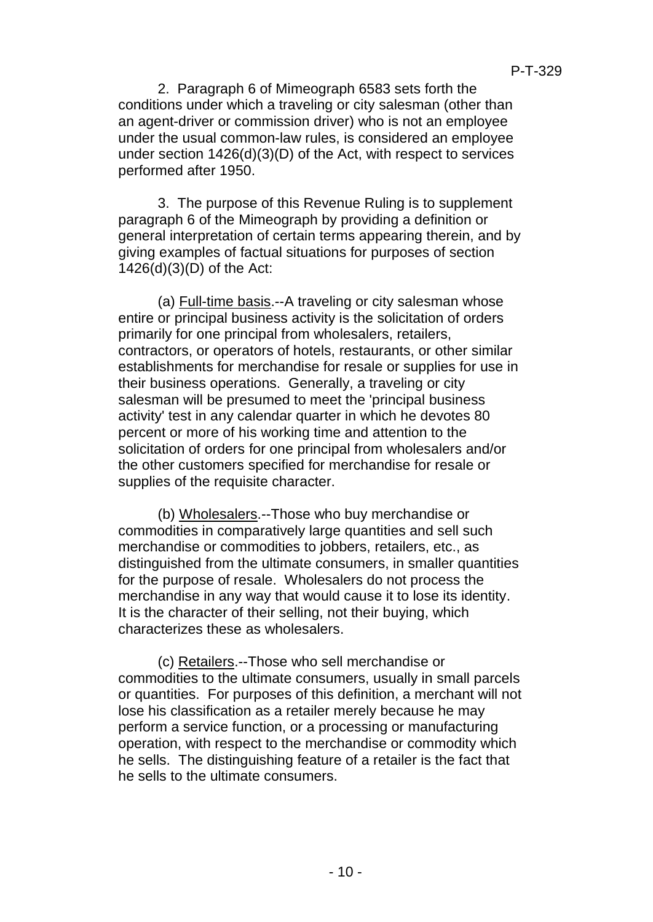2. Paragraph 6 of Mimeograph 6583 sets forth the conditions under which a traveling or city salesman (other than an agent-driver or commission driver) who is not an employee under the usual common-law rules, is considered an employee under section 1426(d)(3)(D) of the Act, with respect to services performed after 1950.

3. The purpose of this Revenue Ruling is to supplement paragraph 6 of the Mimeograph by providing a definition or general interpretation of certain terms appearing therein, and by giving examples of factual situations for purposes of section 1426(d)(3)(D) of the Act:

(a) Full-time basis.--A traveling or city salesman whose entire or principal business activity is the solicitation of orders primarily for one principal from wholesalers, retailers, contractors, or operators of hotels, restaurants, or other similar establishments for merchandise for resale or supplies for use in their business operations. Generally, a traveling or city salesman will be presumed to meet the 'principal business activity' test in any calendar quarter in which he devotes 80 percent or more of his working time and attention to the solicitation of orders for one principal from wholesalers and/or the other customers specified for merchandise for resale or supplies of the requisite character.

(b) Wholesalers.--Those who buy merchandise or commodities in comparatively large quantities and sell such merchandise or commodities to jobbers, retailers, etc., as distinguished from the ultimate consumers, in smaller quantities for the purpose of resale. Wholesalers do not process the merchandise in any way that would cause it to lose its identity. It is the character of their selling, not their buying, which characterizes these as wholesalers.

(c) Retailers.--Those who sell merchandise or commodities to the ultimate consumers, usually in small parcels or quantities. For purposes of this definition, a merchant will not lose his classification as a retailer merely because he may perform a service function, or a processing or manufacturing operation, with respect to the merchandise or commodity which he sells. The distinguishing feature of a retailer is the fact that he sells to the ultimate consumers.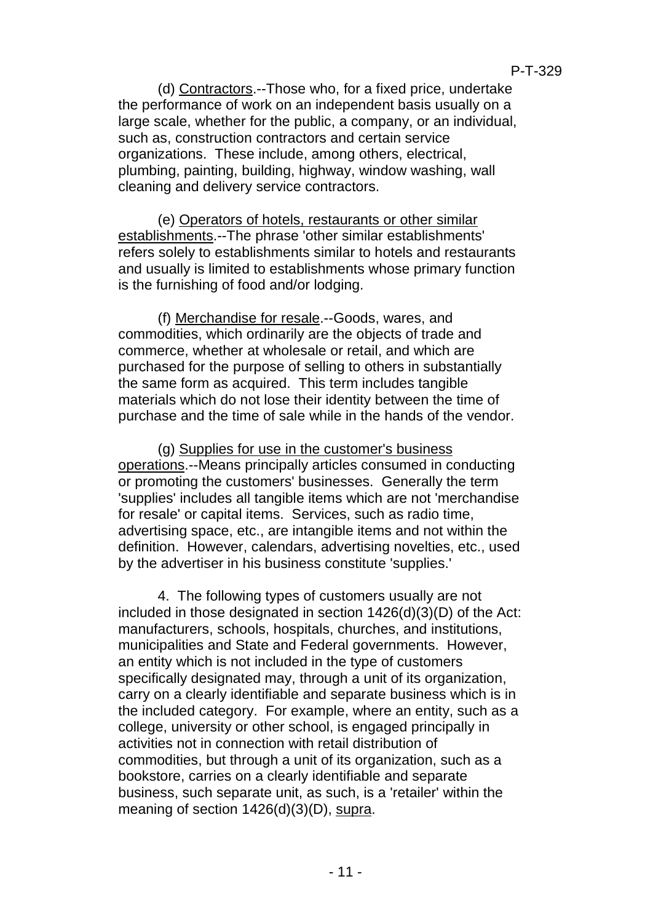(d) Contractors.--Those who, for a fixed price, undertake the performance of work on an independent basis usually on a large scale, whether for the public, a company, or an individual, such as, construction contractors and certain service organizations. These include, among others, electrical, plumbing, painting, building, highway, window washing, wall cleaning and delivery service contractors.

(e) Operators of hotels, restaurants or other similar establishments.--The phrase 'other similar establishments' refers solely to establishments similar to hotels and restaurants and usually is limited to establishments whose primary function is the furnishing of food and/or lodging.

(f) Merchandise for resale.--Goods, wares, and commodities, which ordinarily are the objects of trade and commerce, whether at wholesale or retail, and which are purchased for the purpose of selling to others in substantially the same form as acquired. This term includes tangible materials which do not lose their identity between the time of purchase and the time of sale while in the hands of the vendor.

(g) Supplies for use in the customer's business operations.--Means principally articles consumed in conducting or promoting the customers' businesses. Generally the term 'supplies' includes all tangible items which are not 'merchandise for resale' or capital items. Services, such as radio time, advertising space, etc., are intangible items and not within the definition. However, calendars, advertising novelties, etc., used by the advertiser in his business constitute 'supplies.'

4. The following types of customers usually are not included in those designated in section 1426(d)(3)(D) of the Act: manufacturers, schools, hospitals, churches, and institutions, municipalities and State and Federal governments. However, an entity which is not included in the type of customers specifically designated may, through a unit of its organization, carry on a clearly identifiable and separate business which is in the included category. For example, where an entity, such as a college, university or other school, is engaged principally in activities not in connection with retail distribution of commodities, but through a unit of its organization, such as a bookstore, carries on a clearly identifiable and separate business, such separate unit, as such, is a 'retailer' within the meaning of section 1426(d)(3)(D), supra.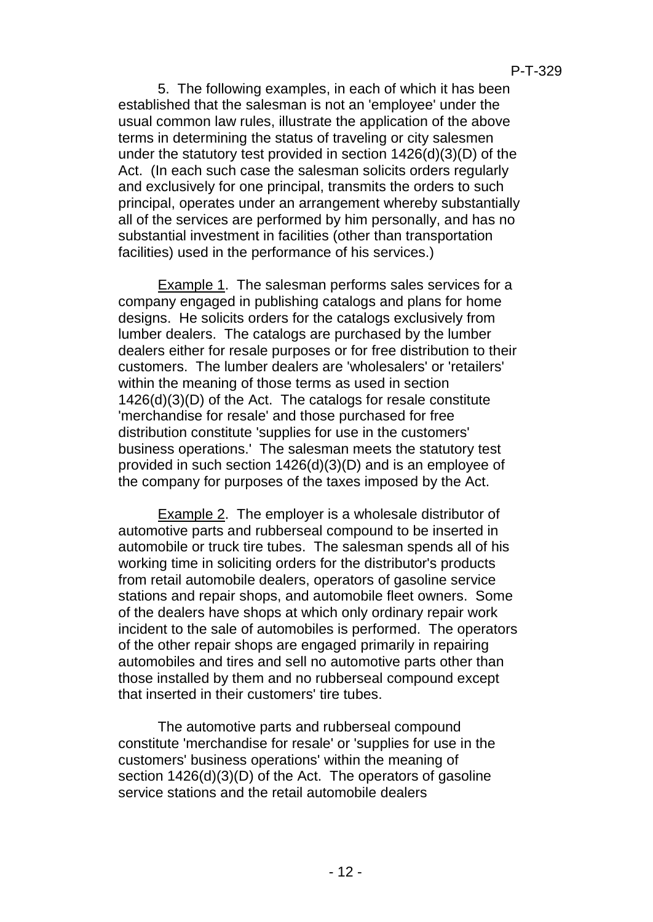5. The following examples, in each of which it has been established that the salesman is not an 'employee' under the usual common law rules, illustrate the application of the above terms in determining the status of traveling or city salesmen under the statutory test provided in section 1426(d)(3)(D) of the Act. (In each such case the salesman solicits orders regularly and exclusively for one principal, transmits the orders to such principal, operates under an arrangement whereby substantially all of the services are performed by him personally, and has no substantial investment in facilities (other than transportation facilities) used in the performance of his services.)

Example 1. The salesman performs sales services for a company engaged in publishing catalogs and plans for home designs. He solicits orders for the catalogs exclusively from lumber dealers. The catalogs are purchased by the lumber dealers either for resale purposes or for free distribution to their customers. The lumber dealers are 'wholesalers' or 'retailers' within the meaning of those terms as used in section 1426(d)(3)(D) of the Act. The catalogs for resale constitute 'merchandise for resale' and those purchased for free distribution constitute 'supplies for use in the customers' business operations.' The salesman meets the statutory test provided in such section 1426(d)(3)(D) and is an employee of the company for purposes of the taxes imposed by the Act.

Example 2. The employer is a wholesale distributor of automotive parts and rubberseal compound to be inserted in automobile or truck tire tubes. The salesman spends all of his working time in soliciting orders for the distributor's products from retail automobile dealers, operators of gasoline service stations and repair shops, and automobile fleet owners. Some of the dealers have shops at which only ordinary repair work incident to the sale of automobiles is performed. The operators of the other repair shops are engaged primarily in repairing automobiles and tires and sell no automotive parts other than those installed by them and no rubberseal compound except that inserted in their customers' tire tubes.

The automotive parts and rubberseal compound constitute 'merchandise for resale' or 'supplies for use in the customers' business operations' within the meaning of section  $1426(d)(3)(D)$  of the Act. The operators of gasoline service stations and the retail automobile dealers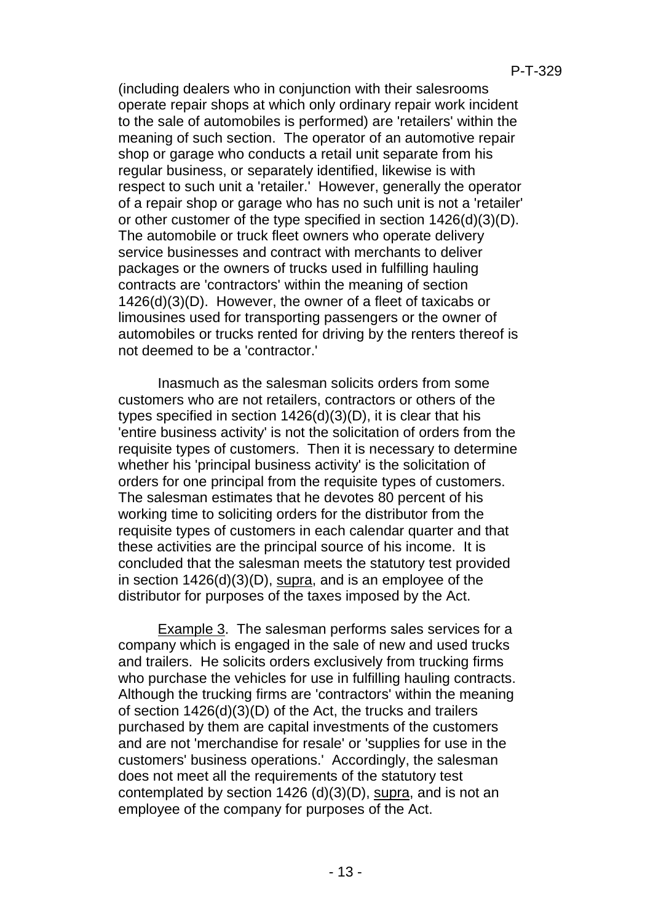(including dealers who in conjunction with their salesrooms operate repair shops at which only ordinary repair work incident to the sale of automobiles is performed) are 'retailers' within the meaning of such section. The operator of an automotive repair shop or garage who conducts a retail unit separate from his regular business, or separately identified, likewise is with respect to such unit a 'retailer.' However, generally the operator of a repair shop or garage who has no such unit is not a 'retailer' or other customer of the type specified in section 1426(d)(3)(D). The automobile or truck fleet owners who operate delivery service businesses and contract with merchants to deliver packages or the owners of trucks used in fulfilling hauling contracts are 'contractors' within the meaning of section 1426(d)(3)(D). However, the owner of a fleet of taxicabs or limousines used for transporting passengers or the owner of automobiles or trucks rented for driving by the renters thereof is not deemed to be a 'contractor.'

Inasmuch as the salesman solicits orders from some customers who are not retailers, contractors or others of the types specified in section 1426(d)(3)(D), it is clear that his 'entire business activity' is not the solicitation of orders from the requisite types of customers. Then it is necessary to determine whether his 'principal business activity' is the solicitation of orders for one principal from the requisite types of customers. The salesman estimates that he devotes 80 percent of his working time to soliciting orders for the distributor from the requisite types of customers in each calendar quarter and that these activities are the principal source of his income. It is concluded that the salesman meets the statutory test provided in section 1426(d)(3)(D), supra, and is an employee of the distributor for purposes of the taxes imposed by the Act.

Example 3. The salesman performs sales services for a company which is engaged in the sale of new and used trucks and trailers. He solicits orders exclusively from trucking firms who purchase the vehicles for use in fulfilling hauling contracts. Although the trucking firms are 'contractors' within the meaning of section 1426(d)(3)(D) of the Act, the trucks and trailers purchased by them are capital investments of the customers and are not 'merchandise for resale' or 'supplies for use in the customers' business operations.' Accordingly, the salesman does not meet all the requirements of the statutory test contemplated by section 1426 (d)(3)(D), supra, and is not an employee of the company for purposes of the Act.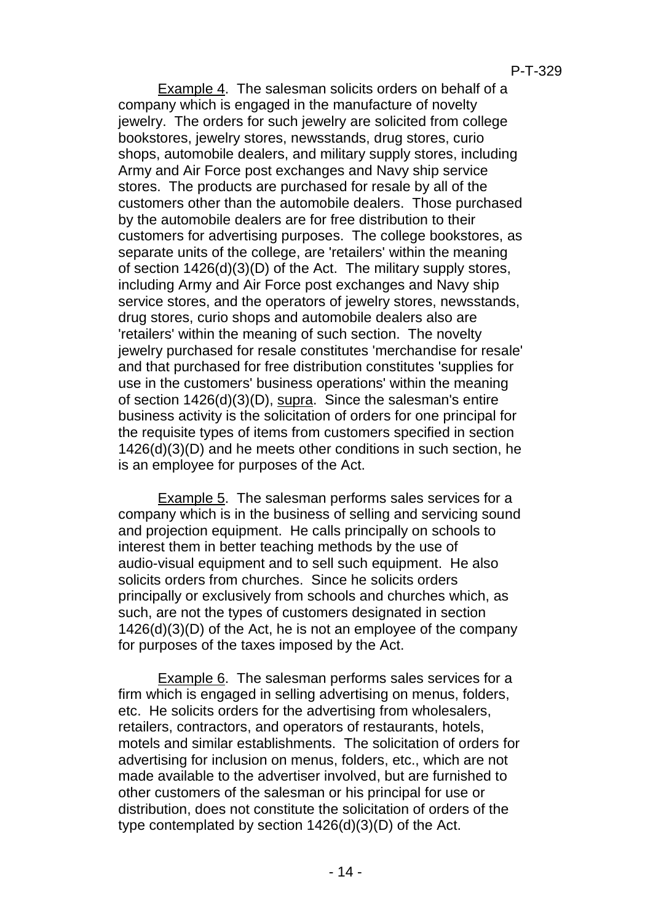Example 4. The salesman solicits orders on behalf of a company which is engaged in the manufacture of novelty jewelry. The orders for such jewelry are solicited from college bookstores, jewelry stores, newsstands, drug stores, curio shops, automobile dealers, and military supply stores, including Army and Air Force post exchanges and Navy ship service stores. The products are purchased for resale by all of the customers other than the automobile dealers. Those purchased by the automobile dealers are for free distribution to their customers for advertising purposes. The college bookstores, as separate units of the college, are 'retailers' within the meaning of section 1426(d)(3)(D) of the Act. The military supply stores, including Army and Air Force post exchanges and Navy ship service stores, and the operators of jewelry stores, newsstands, drug stores, curio shops and automobile dealers also are 'retailers' within the meaning of such section. The novelty jewelry purchased for resale constitutes 'merchandise for resale' and that purchased for free distribution constitutes 'supplies for use in the customers' business operations' within the meaning of section 1426(d)(3)(D), supra. Since the salesman's entire business activity is the solicitation of orders for one principal for the requisite types of items from customers specified in section 1426(d)(3)(D) and he meets other conditions in such section, he is an employee for purposes of the Act.

Example 5. The salesman performs sales services for a company which is in the business of selling and servicing sound and projection equipment. He calls principally on schools to interest them in better teaching methods by the use of audio-visual equipment and to sell such equipment. He also solicits orders from churches. Since he solicits orders principally or exclusively from schools and churches which, as such, are not the types of customers designated in section 1426(d)(3)(D) of the Act, he is not an employee of the company for purposes of the taxes imposed by the Act.

Example 6. The salesman performs sales services for a firm which is engaged in selling advertising on menus, folders, etc. He solicits orders for the advertising from wholesalers, retailers, contractors, and operators of restaurants, hotels, motels and similar establishments. The solicitation of orders for advertising for inclusion on menus, folders, etc., which are not made available to the advertiser involved, but are furnished to other customers of the salesman or his principal for use or distribution, does not constitute the solicitation of orders of the type contemplated by section 1426(d)(3)(D) of the Act.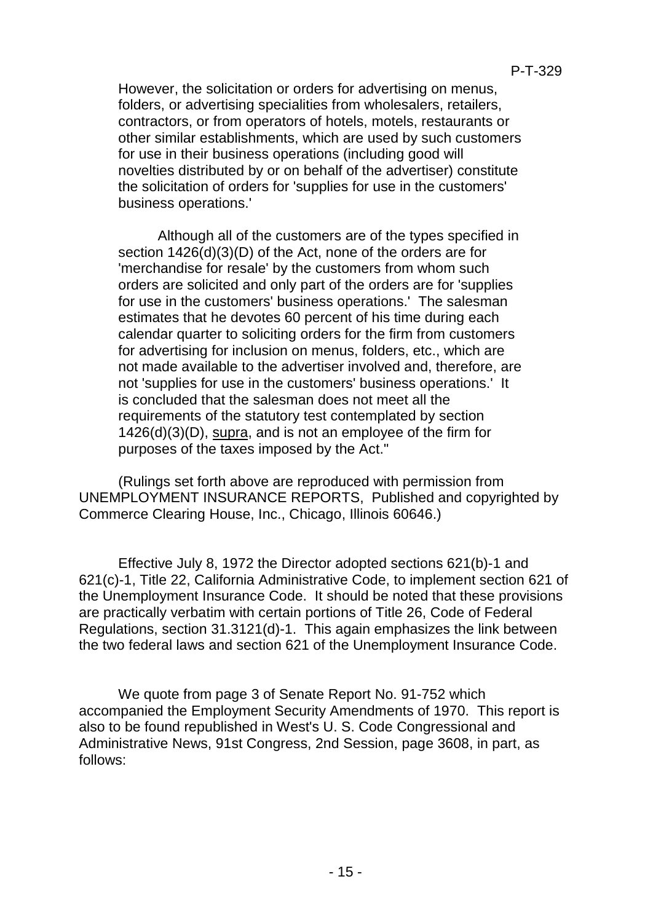However, the solicitation or orders for advertising on menus, folders, or advertising specialities from wholesalers, retailers, contractors, or from operators of hotels, motels, restaurants or other similar establishments, which are used by such customers for use in their business operations (including good will novelties distributed by or on behalf of the advertiser) constitute the solicitation of orders for 'supplies for use in the customers' business operations.'

Although all of the customers are of the types specified in section  $1426(d)(3)(D)$  of the Act, none of the orders are for 'merchandise for resale' by the customers from whom such orders are solicited and only part of the orders are for 'supplies for use in the customers' business operations.' The salesman estimates that he devotes 60 percent of his time during each calendar quarter to soliciting orders for the firm from customers for advertising for inclusion on menus, folders, etc., which are not made available to the advertiser involved and, therefore, are not 'supplies for use in the customers' business operations.' It is concluded that the salesman does not meet all the requirements of the statutory test contemplated by section 1426(d)(3)(D), supra, and is not an employee of the firm for purposes of the taxes imposed by the Act."

(Rulings set forth above are reproduced with permission from UNEMPLOYMENT INSURANCE REPORTS, Published and copyrighted by Commerce Clearing House, Inc., Chicago, Illinois 60646.)

Effective July 8, 1972 the Director adopted sections 621(b)-1 and 621(c)-1, Title 22, California Administrative Code, to implement section 621 of the Unemployment Insurance Code. It should be noted that these provisions are practically verbatim with certain portions of Title 26, Code of Federal Regulations, section 31.3121(d)-1. This again emphasizes the link between the two federal laws and section 621 of the Unemployment Insurance Code.

We quote from page 3 of Senate Report No. 91-752 which accompanied the Employment Security Amendments of 1970. This report is also to be found republished in West's U. S. Code Congressional and Administrative News, 91st Congress, 2nd Session, page 3608, in part, as follows: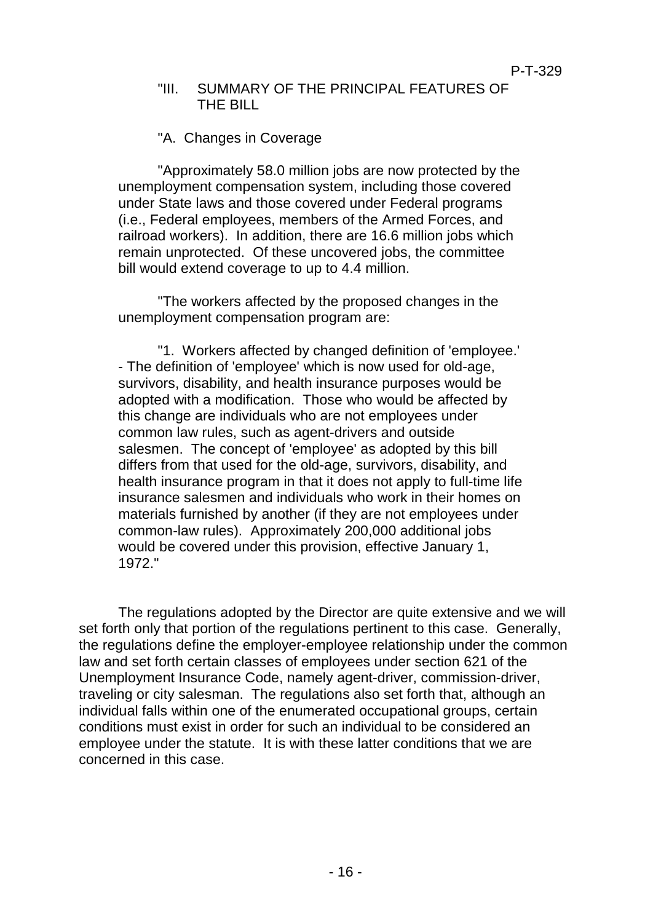#### "III. SUMMARY OF THE PRINCIPAL FEATURES OF THE BILL

## "A. Changes in Coverage

"Approximately 58.0 million jobs are now protected by the unemployment compensation system, including those covered under State laws and those covered under Federal programs (i.e., Federal employees, members of the Armed Forces, and railroad workers). In addition, there are 16.6 million jobs which remain unprotected. Of these uncovered jobs, the committee bill would extend coverage to up to 4.4 million.

"The workers affected by the proposed changes in the unemployment compensation program are:

"1. Workers affected by changed definition of 'employee.' - The definition of 'employee' which is now used for old-age, survivors, disability, and health insurance purposes would be adopted with a modification. Those who would be affected by this change are individuals who are not employees under common law rules, such as agent-drivers and outside salesmen. The concept of 'employee' as adopted by this bill differs from that used for the old-age, survivors, disability, and health insurance program in that it does not apply to full-time life insurance salesmen and individuals who work in their homes on materials furnished by another (if they are not employees under common-law rules). Approximately 200,000 additional jobs would be covered under this provision, effective January 1, 1972."

The regulations adopted by the Director are quite extensive and we will set forth only that portion of the regulations pertinent to this case. Generally, the regulations define the employer-employee relationship under the common law and set forth certain classes of employees under section 621 of the Unemployment Insurance Code, namely agent-driver, commission-driver, traveling or city salesman. The regulations also set forth that, although an individual falls within one of the enumerated occupational groups, certain conditions must exist in order for such an individual to be considered an employee under the statute. It is with these latter conditions that we are concerned in this case.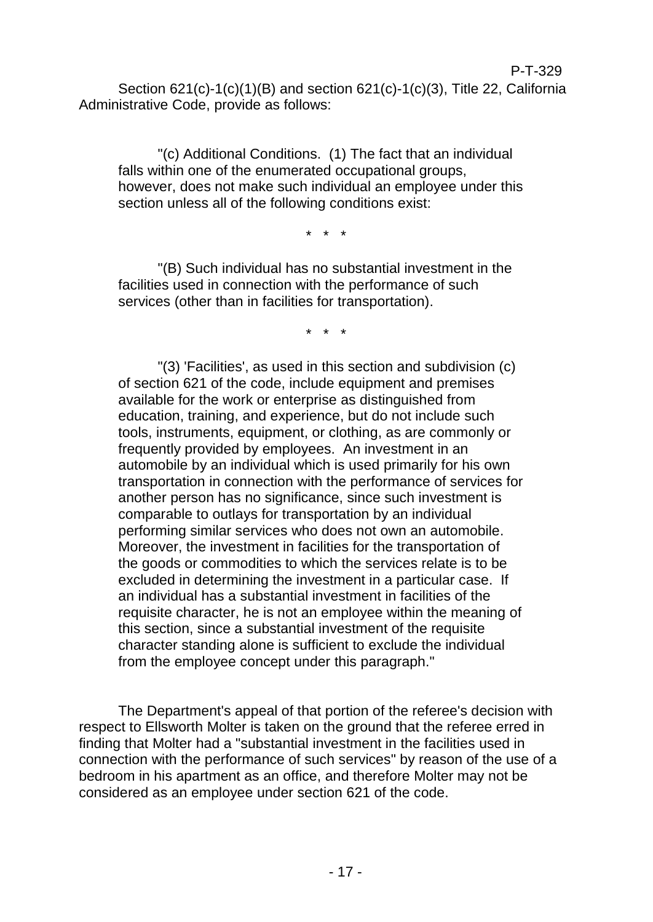"(c) Additional Conditions. (1) The fact that an individual falls within one of the enumerated occupational groups, however, does not make such individual an employee under this section unless all of the following conditions exist:

\* \* \*

"(B) Such individual has no substantial investment in the facilities used in connection with the performance of such services (other than in facilities for transportation).

\* \* \*

"(3) 'Facilities', as used in this section and subdivision (c) of section 621 of the code, include equipment and premises available for the work or enterprise as distinguished from education, training, and experience, but do not include such tools, instruments, equipment, or clothing, as are commonly or frequently provided by employees. An investment in an automobile by an individual which is used primarily for his own transportation in connection with the performance of services for another person has no significance, since such investment is comparable to outlays for transportation by an individual performing similar services who does not own an automobile. Moreover, the investment in facilities for the transportation of the goods or commodities to which the services relate is to be excluded in determining the investment in a particular case. If an individual has a substantial investment in facilities of the requisite character, he is not an employee within the meaning of this section, since a substantial investment of the requisite character standing alone is sufficient to exclude the individual from the employee concept under this paragraph."

The Department's appeal of that portion of the referee's decision with respect to Ellsworth Molter is taken on the ground that the referee erred in finding that Molter had a "substantial investment in the facilities used in connection with the performance of such services" by reason of the use of a bedroom in his apartment as an office, and therefore Molter may not be considered as an employee under section 621 of the code.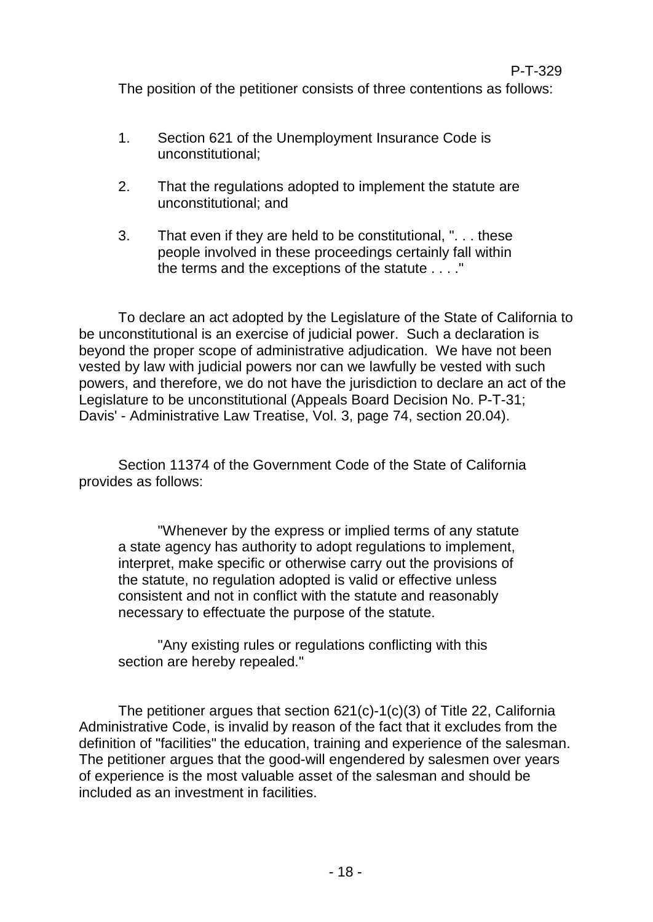The position of the petitioner consists of three contentions as follows:

- 1. Section 621 of the Unemployment Insurance Code is unconstitutional;
- 2. That the regulations adopted to implement the statute are unconstitutional; and
- 3. That even if they are held to be constitutional, ". . . these people involved in these proceedings certainly fall within the terms and the exceptions of the statute . . . ."

To declare an act adopted by the Legislature of the State of California to be unconstitutional is an exercise of judicial power. Such a declaration is beyond the proper scope of administrative adjudication. We have not been vested by law with judicial powers nor can we lawfully be vested with such powers, and therefore, we do not have the jurisdiction to declare an act of the Legislature to be unconstitutional (Appeals Board Decision No. P-T-31; Davis' - Administrative Law Treatise, Vol. 3, page 74, section 20.04).

Section 11374 of the Government Code of the State of California provides as follows:

"Whenever by the express or implied terms of any statute a state agency has authority to adopt regulations to implement, interpret, make specific or otherwise carry out the provisions of the statute, no regulation adopted is valid or effective unless consistent and not in conflict with the statute and reasonably necessary to effectuate the purpose of the statute.

"Any existing rules or regulations conflicting with this section are hereby repealed."

The petitioner argues that section 621(c)-1(c)(3) of Title 22, California Administrative Code, is invalid by reason of the fact that it excludes from the definition of "facilities" the education, training and experience of the salesman. The petitioner argues that the good-will engendered by salesmen over years of experience is the most valuable asset of the salesman and should be included as an investment in facilities.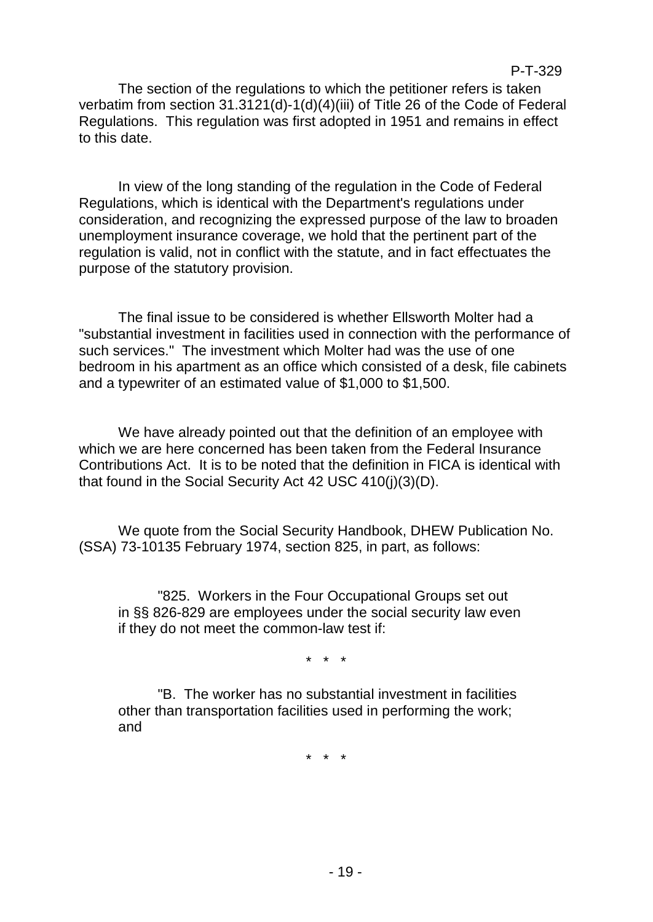The section of the regulations to which the petitioner refers is taken verbatim from section 31.3121(d)-1(d)(4)(iii) of Title 26 of the Code of Federal Regulations. This regulation was first adopted in 1951 and remains in effect to this date.

In view of the long standing of the regulation in the Code of Federal Regulations, which is identical with the Department's regulations under consideration, and recognizing the expressed purpose of the law to broaden unemployment insurance coverage, we hold that the pertinent part of the regulation is valid, not in conflict with the statute, and in fact effectuates the purpose of the statutory provision.

The final issue to be considered is whether Ellsworth Molter had a "substantial investment in facilities used in connection with the performance of such services." The investment which Molter had was the use of one bedroom in his apartment as an office which consisted of a desk, file cabinets and a typewriter of an estimated value of \$1,000 to \$1,500.

We have already pointed out that the definition of an employee with which we are here concerned has been taken from the Federal Insurance Contributions Act. It is to be noted that the definition in FICA is identical with that found in the Social Security Act 42 USC 410(j)(3)(D).

We quote from the Social Security Handbook, DHEW Publication No. (SSA) 73-10135 February 1974, section 825, in part, as follows:

"825. Workers in the Four Occupational Groups set out in §§ 826-829 are employees under the social security law even if they do not meet the common-law test if:

\* \* \*

"B. The worker has no substantial investment in facilities other than transportation facilities used in performing the work; and

\* \* \*